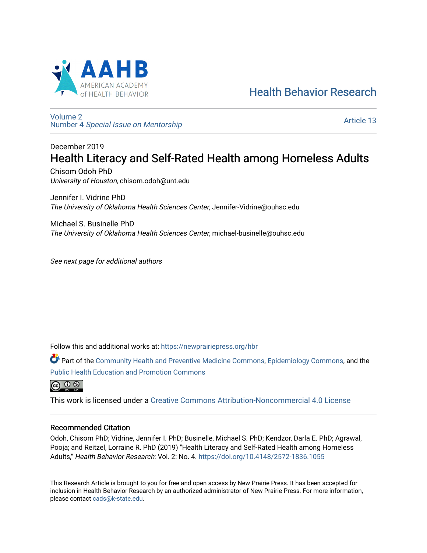

# [Health Behavior Research](https://newprairiepress.org/hbr)

[Volume 2](https://newprairiepress.org/hbr/vol2) Number 4 [Special Issue on Mentorship](https://newprairiepress.org/hbr/vol2/iss4) 

[Article 13](https://newprairiepress.org/hbr/vol2/iss4/13) 

# December 2019 Health Literacy and Self-Rated Health among Homeless Adults

Chisom Odoh PhD University of Houston, chisom.odoh@unt.edu

Jennifer I. Vidrine PhD The University of Oklahoma Health Sciences Center, Jennifer-Vidrine@ouhsc.edu

Michael S. Businelle PhD The University of Oklahoma Health Sciences Center, michael-businelle@ouhsc.edu

See next page for additional authors

Follow this and additional works at: [https://newprairiepress.org/hbr](https://newprairiepress.org/hbr?utm_source=newprairiepress.org%2Fhbr%2Fvol2%2Fiss4%2F13&utm_medium=PDF&utm_campaign=PDFCoverPages) 

Part of the [Community Health and Preventive Medicine Commons](http://network.bepress.com/hgg/discipline/744?utm_source=newprairiepress.org%2Fhbr%2Fvol2%2Fiss4%2F13&utm_medium=PDF&utm_campaign=PDFCoverPages), [Epidemiology Commons](http://network.bepress.com/hgg/discipline/740?utm_source=newprairiepress.org%2Fhbr%2Fvol2%2Fiss4%2F13&utm_medium=PDF&utm_campaign=PDFCoverPages), and the [Public Health Education and Promotion Commons](http://network.bepress.com/hgg/discipline/743?utm_source=newprairiepress.org%2Fhbr%2Fvol2%2Fiss4%2F13&utm_medium=PDF&utm_campaign=PDFCoverPages) 



This work is licensed under a [Creative Commons Attribution-Noncommercial 4.0 License](https://creativecommons.org/licenses/by-nc/4.0/)

# Recommended Citation

Odoh, Chisom PhD; Vidrine, Jennifer I. PhD; Businelle, Michael S. PhD; Kendzor, Darla E. PhD; Agrawal, Pooja; and Reitzel, Lorraine R. PhD (2019) "Health Literacy and Self-Rated Health among Homeless Adults," Health Behavior Research: Vol. 2: No. 4. <https://doi.org/10.4148/2572-1836.1055>

This Research Article is brought to you for free and open access by New Prairie Press. It has been accepted for inclusion in Health Behavior Research by an authorized administrator of New Prairie Press. For more information, please contact [cads@k-state.edu.](mailto:cads@k-state.edu)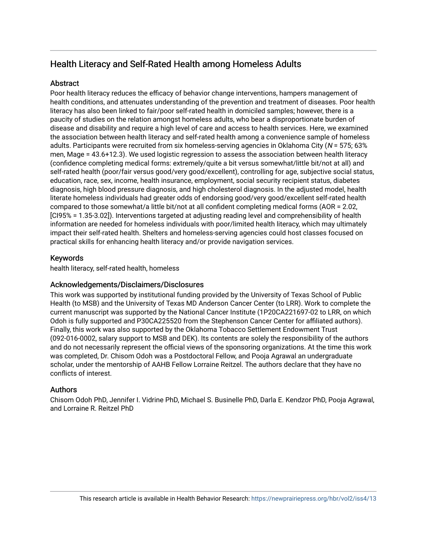# Health Literacy and Self-Rated Health among Homeless Adults

# Abstract

Poor health literacy reduces the efficacy of behavior change interventions, hampers management of health conditions, and attenuates understanding of the prevention and treatment of diseases. Poor health literacy has also been linked to fair/poor self-rated health in domiciled samples; however, there is a paucity of studies on the relation amongst homeless adults, who bear a disproportionate burden of disease and disability and require a high level of care and access to health services. Here, we examined the association between health literacy and self-rated health among a convenience sample of homeless adults. Participants were recruited from six homeless-serving agencies in Oklahoma City (N = 575; 63% men, Mage = 43.6+12.3). We used logistic regression to assess the association between health literacy (confidence completing medical forms: extremely/quite a bit versus somewhat/little bit/not at all) and self-rated health (poor/fair versus good/very good/excellent), controlling for age, subjective social status, education, race, sex, income, health insurance, employment, social security recipient status, diabetes diagnosis, high blood pressure diagnosis, and high cholesterol diagnosis. In the adjusted model, health literate homeless individuals had greater odds of endorsing good/very good/excellent self-rated health compared to those somewhat/a little bit/not at all confident completing medical forms (AOR = 2.02, [CI95% = 1.35-3.02]). Interventions targeted at adjusting reading level and comprehensibility of health information are needed for homeless individuals with poor/limited health literacy, which may ultimately impact their self-rated health. Shelters and homeless-serving agencies could host classes focused on practical skills for enhancing health literacy and/or provide navigation services.

# Keywords

health literacy, self-rated health, homeless

# Acknowledgements/Disclaimers/Disclosures

This work was supported by institutional funding provided by the University of Texas School of Public Health (to MSB) and the University of Texas MD Anderson Cancer Center (to LRR). Work to complete the current manuscript was supported by the National Cancer Institute (1P20CA221697-02 to LRR, on which Odoh is fully supported and P30CA225520 from the Stephenson Cancer Center for affiliated authors). Finally, this work was also supported by the Oklahoma Tobacco Settlement Endowment Trust (092-016-0002, salary support to MSB and DEK). Its contents are solely the responsibility of the authors and do not necessarily represent the official views of the sponsoring organizations. At the time this work was completed, Dr. Chisom Odoh was a Postdoctoral Fellow, and Pooja Agrawal an undergraduate scholar, under the mentorship of AAHB Fellow Lorraine Reitzel. The authors declare that they have no conflicts of interest.

# Authors

Chisom Odoh PhD, Jennifer I. Vidrine PhD, Michael S. Businelle PhD, Darla E. Kendzor PhD, Pooja Agrawal, and Lorraine R. Reitzel PhD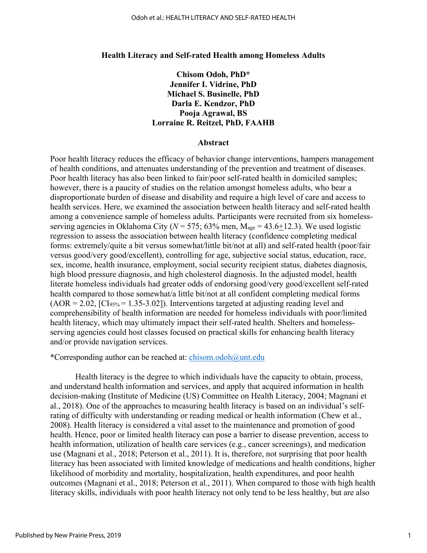#### **Health Literacy and Self-rated Health among Homeless Adults**

**Chisom Odoh, PhD\* Jennifer I. Vidrine, PhD Michael S. Businelle, PhD Darla E. Kendzor, PhD Pooja Agrawal, BS Lorraine R. Reitzel, PhD, FAAHB**

## **Abstract**

Poor health literacy reduces the efficacy of behavior change interventions, hampers management of health conditions, and attenuates understanding of the prevention and treatment of diseases. Poor health literacy has also been linked to fair/poor self-rated health in domiciled samples; however, there is a paucity of studies on the relation amongst homeless adults, who bear a disproportionate burden of disease and disability and require a high level of care and access to health services. Here, we examined the association between health literacy and self-rated health among a convenience sample of homeless adults. Participants were recruited from six homelessserving agencies in Oklahoma City ( $N = 575$ ; 63% men, M<sub>age</sub> = 43.6+12.3). We used logistic regression to assess the association between health literacy (confidence completing medical forms: extremely/quite a bit versus somewhat/little bit/not at all) and self-rated health (poor/fair versus good/very good/excellent), controlling for age, subjective social status, education, race, sex, income, health insurance, employment, social security recipient status, diabetes diagnosis, high blood pressure diagnosis, and high cholesterol diagnosis. In the adjusted model, health literate homeless individuals had greater odds of endorsing good/very good/excellent self-rated health compared to those somewhat/a little bit/not at all confident completing medical forms  $(AOR = 2.02, [CI<sub>95%</sub> = 1.35-3.02])$ . Interventions targeted at adjusting reading level and comprehensibility of health information are needed for homeless individuals with poor/limited health literacy, which may ultimately impact their self-rated health. Shelters and homelessserving agencies could host classes focused on practical skills for enhancing health literacy and/or provide navigation services.

\*Corresponding author can be reached at: [chisom.odoh@unt.edu](mailto:chisom.odoh@unt.edu)

Health literacy is the degree to which individuals have the capacity to obtain, process, and understand health information and services, and apply that acquired information in health decision-making (Institute of Medicine (US) Committee on Health Literacy, 2004; Magnani et al., 2018). One of the approaches to measuring health literacy is based on an individual's selfrating of difficulty with understanding or reading medical or health information (Chew et al., 2008). Health literacy is considered a vital asset to the maintenance and promotion of good health. Hence, poor or limited health literacy can pose a barrier to disease prevention, access to health information, utilization of health care services (e.g., cancer screenings), and medication use (Magnani et al., 2018; Peterson et al., 2011). It is, therefore, not surprising that poor health literacy has been associated with limited knowledge of medications and health conditions, higher likelihood of morbidity and mortality, hospitalization, health expenditures, and poor health outcomes (Magnani et al., 2018; Peterson et al., 2011). When compared to those with high health literacy skills, individuals with poor health literacy not only tend to be less healthy, but are also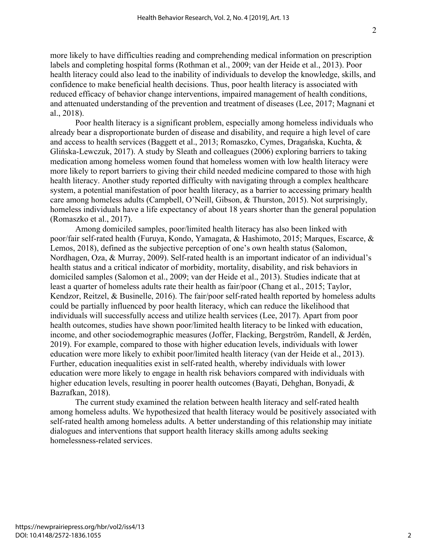more likely to have difficulties reading and comprehending medical information on prescription labels and completing hospital forms (Rothman et al., 2009; van der Heide et al., 2013). Poor health literacy could also lead to the inability of individuals to develop the knowledge, skills, and confidence to make beneficial health decisions. Thus, poor health literacy is associated with reduced efficacy of behavior change interventions, impaired management of health conditions, and attenuated understanding of the prevention and treatment of diseases (Lee, 2017; Magnani et al., 2018).

Poor health literacy is a significant problem, especially among homeless individuals who already bear a disproportionate burden of disease and disability, and require a high level of care and access to health services (Baggett et al., 2013; Romaszko, Cymes, Dragańska, Kuchta, & Glińska-Lewczuk, 2017). A study by Sleath and colleagues (2006) exploring barriers to taking medication among homeless women found that homeless women with low health literacy were more likely to report barriers to giving their child needed medicine compared to those with high health literacy. Another study reported difficulty with navigating through a complex healthcare system, a potential manifestation of poor health literacy, as a barrier to accessing primary health care among homeless adults (Campbell, O'Neill, Gibson, & Thurston, 2015). Not surprisingly, homeless individuals have a life expectancy of about 18 years shorter than the general population (Romaszko et al., 2017).

Among domiciled samples, poor/limited health literacy has also been linked with poor/fair self-rated health (Furuya, Kondo, Yamagata, & Hashimoto, 2015; Marques, Escarce, & Lemos, 2018), defined as the subjective perception of one's own health status (Salomon, Nordhagen, Oza, & Murray, 2009). Self-rated health is an important indicator of an individual's health status and a critical indicator of morbidity, mortality, disability, and risk behaviors in domiciled samples (Salomon et al., 2009; van der Heide et al., 2013). Studies indicate that at least a quarter of homeless adults rate their health as fair/poor (Chang et al., 2015; Taylor, Kendzor, Reitzel, & Businelle, 2016). The fair/poor self-rated health reported by homeless adults could be partially influenced by poor health literacy, which can reduce the likelihood that individuals will successfully access and utilize health services (Lee, 2017). Apart from poor health outcomes, studies have shown poor/limited health literacy to be linked with education, income, and other sociodemographic measures (Joffer, Flacking, Bergström, Randell, & Jerdén, 2019). For example, compared to those with higher education levels, individuals with lower education were more likely to exhibit poor/limited health literacy (van der Heide et al., 2013). Further, education inequalities exist in self-rated health, whereby individuals with lower education were more likely to engage in health risk behaviors compared with individuals with higher education levels, resulting in poorer health outcomes (Bayati, Dehghan, Bonyadi, & Bazrafkan, 2018).

The current study examined the relation between health literacy and self-rated health among homeless adults. We hypothesized that health literacy would be positively associated with self-rated health among homeless adults. A better understanding of this relationship may initiate dialogues and interventions that support health literacy skills among adults seeking homelessness-related services.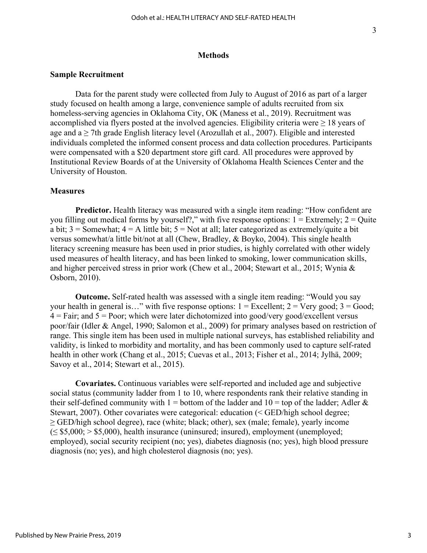## **Methods**

## **Sample Recruitment**

Data for the parent study were collected from July to August of 2016 as part of a larger study focused on health among a large, convenience sample of adults recruited from six homeless-serving agencies in Oklahoma City, OK (Maness et al., 2019). Recruitment was accomplished via flyers posted at the involved agencies. Eligibility criteria were  $\geq 18$  years of age and a ≥ 7th grade English literacy level (Arozullah et al., 2007). Eligible and interested individuals completed the informed consent process and data collection procedures. Participants were compensated with a \$20 department store gift card. All procedures were approved by Institutional Review Boards of at the University of Oklahoma Health Sciences Center and the University of Houston.

## **Measures**

**Predictor.** Health literacy was measured with a single item reading: "How confident are you filling out medical forms by yourself?," with five response options:  $1 =$  Extremely;  $2 =$  Quite a bit;  $3 =$  Somewhat;  $4 =$  A little bit;  $5 =$  Not at all; later categorized as extremely/quite a bit versus somewhat/a little bit/not at all (Chew, Bradley, & Boyko, 2004). This single health literacy screening measure has been used in prior studies, is highly correlated with other widely used measures of health literacy, and has been linked to smoking, lower communication skills, and higher perceived stress in prior work (Chew et al., 2004; Stewart et al., 2015; Wynia & Osborn, 2010).

**Outcome.** Self-rated health was assessed with a single item reading: "Would you say your health in general is..." with five response options:  $1 =$  Excellent;  $2 =$  Very good;  $3 =$  Good;  $4 = \text{Fair}$ ; and  $5 = \text{Poor}$ ; which were later dichotomized into good/very good/excellent versus poor/fair (Idler & Angel, 1990; Salomon et al., 2009) for primary analyses based on restriction of range. This single item has been used in multiple national surveys, has established reliability and validity, is linked to morbidity and mortality, and has been commonly used to capture self-rated health in other work (Chang et al., 2015; Cuevas et al., 2013; Fisher et al., 2014; Jylhä, 2009; Savoy et al., 2014; Stewart et al., 2015).

**Covariates.** Continuous variables were self-reported and included age and subjective social status (community ladder from 1 to 10, where respondents rank their relative standing in their self-defined community with  $1 =$  bottom of the ladder and  $10 =$  top of the ladder; Adler & Stewart, 2007). Other covariates were categorical: education (< GED/high school degree; ≥ GED/high school degree), race (white; black; other), sex (male; female), yearly income  $(\leq$  \$5,000;  $>$  \$5,000), health insurance (uninsured; insured), employment (unemployed; employed), social security recipient (no; yes), diabetes diagnosis (no; yes), high blood pressure diagnosis (no; yes), and high cholesterol diagnosis (no; yes).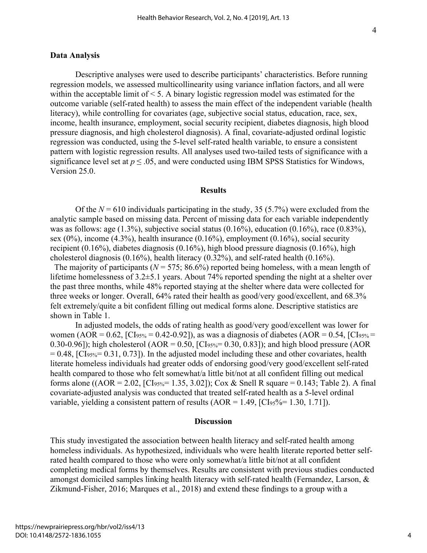## **Data Analysis**

Descriptive analyses were used to describe participants' characteristics. Before running regression models, we assessed multicollinearity using variance inflation factors, and all were within the acceptable limit of < 5. A binary logistic regression model was estimated for the outcome variable (self-rated health) to assess the main effect of the independent variable (health literacy), while controlling for covariates (age, subjective social status, education, race, sex, income, health insurance, employment, social security recipient, diabetes diagnosis, high blood pressure diagnosis, and high cholesterol diagnosis). A final, covariate-adjusted ordinal logistic regression was conducted, using the 5-level self-rated health variable, to ensure a consistent pattern with logistic regression results. All analyses used two-tailed tests of significance with a significance level set at  $p \leq 0.05$ , and were conducted using IBM SPSS Statistics for Windows, Version 25.0.

## **Results**

Of the  $N = 610$  individuals participating in the study, 35 (5.7%) were excluded from the analytic sample based on missing data. Percent of missing data for each variable independently was as follows: age (1.3%), subjective social status (0.16%), education (0.16%), race (0.83%), sex  $(0\%)$ , income  $(4.3\%)$ , health insurance  $(0.16\%)$ , employment  $(0.16\%)$ , social security recipient (0.16%), diabetes diagnosis (0.16%), high blood pressure diagnosis (0.16%), high cholesterol diagnosis (0.16%), health literacy (0.32%), and self-rated health (0.16%).

The majority of participants ( $N = 575$ ; 86.6%) reported being homeless, with a mean length of lifetime homelessness of 3.2±5.1 years. About 74% reported spending the night at a shelter over the past three months, while 48% reported staying at the shelter where data were collected for three weeks or longer. Overall, 64% rated their health as good/very good/excellent, and 68.3% felt extremely/quite a bit confident filling out medical forms alone. Descriptive statistics are shown in Table 1.

In adjusted models, the odds of rating health as good/very good/excellent was lower for women (AOR = 0.62, [CI<sub>95%</sub> = 0.42-0.92]), as was a diagnosis of diabetes (AOR = 0.54, [CI<sub>95%</sub> = 0.30-0.96]); high cholesterol (AOR = 0.50, [CI<sub>95%</sub> = 0.30, 0.83]); and high blood pressure (AOR  $= 0.48$ , [CI<sub>95%</sub> $= 0.31, 0.73$ ]). In the adjusted model including these and other covariates, health literate homeless individuals had greater odds of endorsing good/very good/excellent self-rated health compared to those who felt somewhat/a little bit/not at all confident filling out medical forms alone ((AOR = 2.02, [CI<sub>95%</sub> = 1.35, 3.02]); Cox & Snell R square = 0.143; Table 2). A final covariate-adjusted analysis was conducted that treated self-rated health as a 5-level ordinal variable, yielding a consistent pattern of results  $(AOR = 1.49, [CI<sub>95</sub>%=1.30, 1.71]).$ 

### **Discussion**

This study investigated the association between health literacy and self-rated health among homeless individuals. As hypothesized, individuals who were health literate reported better selfrated health compared to those who were only somewhat/a little bit/not at all confident completing medical forms by themselves. Results are consistent with previous studies conducted amongst domiciled samples linking health literacy with self-rated health (Fernandez, Larson, & Zikmund-Fisher, 2016; Marques et al., 2018) and extend these findings to a group with a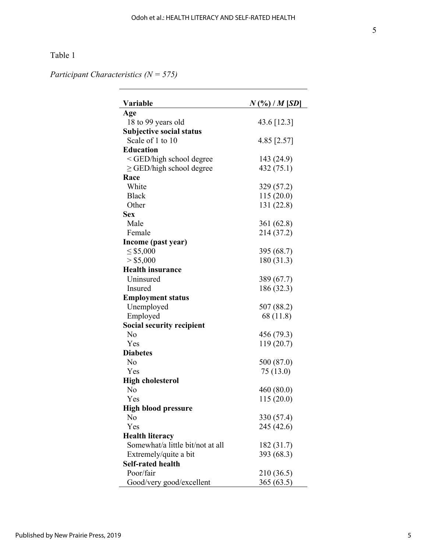# Table 1

*Participant Characteristics (N = 575)* 

| Variable                                                          | $N$ (%) / $M$ [SD] |
|-------------------------------------------------------------------|--------------------|
| Age                                                               |                    |
| 18 to 99 years old                                                | 43.6 [12.3]        |
| <b>Subjective social status</b>                                   |                    |
| Scale of 1 to 10                                                  | 4.85 [2.57]        |
| <b>Education</b>                                                  |                    |
| <ged degree<="" high="" school="" td=""><td>143 (24.9)</td></ged> | 143 (24.9)         |
| $\geq$ GED/high school degree                                     | 432 (75.1)         |
| Race                                                              |                    |
| White                                                             | 329 (57.2)         |
| <b>Black</b>                                                      | 115(20.0)          |
| Other                                                             | 131 (22.8)         |
| <b>Sex</b>                                                        |                    |
| Male                                                              | 361 (62.8)         |
| Female                                                            | 214 (37.2)         |
| Income (past year)                                                |                    |
| $\leq$ \$5,000                                                    | 395 (68.7)         |
| $>$ \$5,000                                                       | 180 (31.3)         |
| <b>Health insurance</b>                                           |                    |
| Uninsured                                                         | 389 (67.7)         |
| <b>Insured</b>                                                    | 186 (32.3)         |
| <b>Employment status</b>                                          |                    |
| Unemployed                                                        | 507 (88.2)         |
| Employed                                                          | 68 (11.8)          |
| <b>Social security recipient</b>                                  |                    |
| No                                                                | 456 (79.3)         |
| Yes                                                               | 119 (20.7)         |
| <b>Diabetes</b>                                                   |                    |
| No                                                                | 500 (87.0)         |
| Yes                                                               | 75(13.0)           |
| <b>High cholesterol</b>                                           |                    |
| No                                                                | 460 (80.0)         |
| Yes                                                               | 115(20.0)          |
| <b>High blood pressure</b>                                        |                    |
| No                                                                | 330 (57.4)         |
| Yes                                                               | 245 (42.6)         |
| <b>Health literacy</b>                                            |                    |
| Somewhat/a little bit/not at all                                  | 182 (31.7)         |
| Extremely/quite a bit                                             | 393 (68.3)         |
| <b>Self-rated health</b>                                          |                    |
| Poor/fair                                                         | 210 (36.5)         |
| Good/very good/excellent                                          | 365(63.5)          |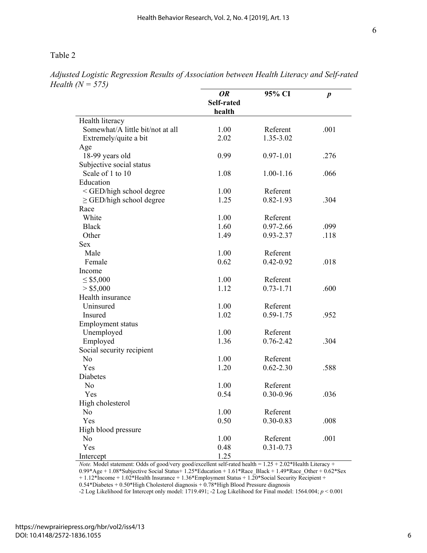Table 2

| <i>16</i> (17                                                                         |                            |               |                  |
|---------------------------------------------------------------------------------------|----------------------------|---------------|------------------|
|                                                                                       | 0R<br>Self-rated<br>health | 95% CI        | $\boldsymbol{p}$ |
|                                                                                       |                            |               |                  |
| Health literacy                                                                       |                            |               |                  |
| Somewhat/A little bit/not at all                                                      | 1.00                       | Referent      | .001             |
| Extremely/quite a bit                                                                 | 2.02                       | 1.35-3.02     |                  |
| Age                                                                                   |                            |               |                  |
| 18-99 years old                                                                       | 0.99                       | $0.97 - 1.01$ | .276             |
| Subjective social status                                                              |                            |               |                  |
| Scale of 1 to 10                                                                      | 1.08                       | 1.00-1.16     | .066             |
| Education                                                                             |                            |               |                  |
| <ged degree<="" high="" school="" td=""><td>1.00</td><td>Referent</td><td></td></ged> | 1.00                       | Referent      |                  |
| $\ge$ GED/high school degree                                                          | 1.25                       | $0.82 - 1.93$ | .304             |
| Race                                                                                  |                            |               |                  |
| White                                                                                 | 1.00                       | Referent      |                  |
| <b>Black</b>                                                                          | 1.60                       | $0.97 - 2.66$ | .099             |
| Other                                                                                 | 1.49                       | 0.93-2.37     | .118             |
| Sex                                                                                   |                            |               |                  |
| Male                                                                                  | 1.00                       | Referent      |                  |
| Female                                                                                | 0.62                       | $0.42 - 0.92$ | .018             |
| Income                                                                                |                            |               |                  |
| $\leq$ \$5,000                                                                        | 1.00                       | Referent      |                  |
| > \$5,000                                                                             | 1.12                       | $0.73 - 1.71$ | .600             |
| Health insurance                                                                      |                            |               |                  |
| Uninsured                                                                             | 1.00                       | Referent      |                  |
| Insured                                                                               | 1.02                       | $0.59 - 1.75$ | .952             |
| Employment status                                                                     |                            |               |                  |
| Unemployed                                                                            | 1.00                       | Referent      |                  |
| Employed                                                                              | 1.36                       | $0.76 - 2.42$ | .304             |
| Social security recipient                                                             |                            |               |                  |
| No                                                                                    | 1.00                       | Referent      |                  |
| Yes                                                                                   | 1.20                       | $0.62 - 2.30$ | .588             |
| Diabetes                                                                              |                            |               |                  |
| No                                                                                    | 1.00                       | Referent      |                  |
| Yes                                                                                   | 0.54                       | $0.30 - 0.96$ | .036             |
| High cholesterol                                                                      |                            |               |                  |
| No                                                                                    | 1.00                       | Referent      |                  |
| Yes                                                                                   | 0.50                       | $0.30 - 0.83$ | .008             |
| High blood pressure                                                                   |                            |               |                  |
| No                                                                                    | 1.00                       | Referent      | .001             |
| Yes                                                                                   | 0.48                       | $0.31 - 0.73$ |                  |
| Intercept                                                                             | 1.25                       |               |                  |

*Adjusted Logistic Regression Results of Association between Health Literacy and Self-rated Health (N = 575)* 

*Note.* Model statement: Odds of good/very good/excellent self-rated health = 1.25 + 2.02\*Health Literacy + 0.99\*Age + 1.08\*Subjective Social Status+ 1.25\*Education + 1.61\*Race\_Black + 1.49\*Race\_Other + 0.62\*Sex

+ 1.12\*Income + 1.02\*Health Insurance + 1.36\*Employment Status + 1.20\*Social Security Recipient +

0.54\*Diabetes + 0.50\*High Cholesterol diagnosis + 0.78\*High Blood Pressure diagnosis

-2 Log Likelihood for Intercept only model: 1719.491; -2 Log Likelihood for Final model: 1564.004; *p* < 0.001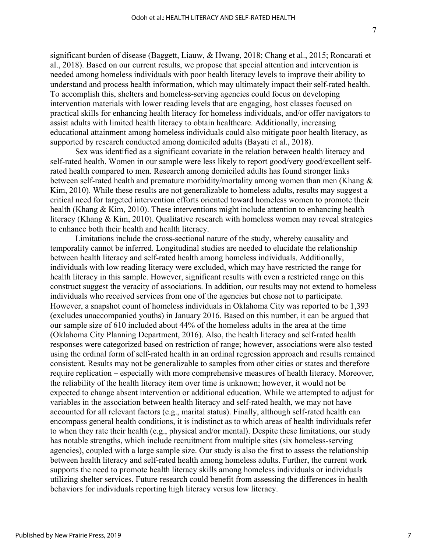significant burden of disease (Baggett, Liauw, & Hwang, 2018; Chang et al., 2015; Roncarati et al., 2018). Based on our current results, we propose that special attention and intervention is needed among homeless individuals with poor health literacy levels to improve their ability to understand and process health information, which may ultimately impact their self-rated health. To accomplish this, shelters and homeless-serving agencies could focus on developing intervention materials with lower reading levels that are engaging, host classes focused on practical skills for enhancing health literacy for homeless individuals, and/or offer navigators to assist adults with limited health literacy to obtain healthcare. Additionally, increasing educational attainment among homeless individuals could also mitigate poor health literacy, as supported by research conducted among domiciled adults (Bayati et al., 2018).

Sex was identified as a significant covariate in the relation between health literacy and self-rated health. Women in our sample were less likely to report good/very good/excellent selfrated health compared to men. Research among domiciled adults has found stronger links between self-rated health and premature morbidity/mortality among women than men (Khang & Kim, 2010). While these results are not generalizable to homeless adults, results may suggest a critical need for targeted intervention efforts oriented toward homeless women to promote their health (Khang & Kim, 2010). These interventions might include attention to enhancing health literacy (Khang & Kim, 2010). Qualitative research with homeless women may reveal strategies to enhance both their health and health literacy.

Limitations include the cross-sectional nature of the study, whereby causality and temporality cannot be inferred. Longitudinal studies are needed to elucidate the relationship between health literacy and self-rated health among homeless individuals. Additionally, individuals with low reading literacy were excluded, which may have restricted the range for health literacy in this sample. However, significant results with even a restricted range on this construct suggest the veracity of associations. In addition, our results may not extend to homeless individuals who received services from one of the agencies but chose not to participate. However, a snapshot count of homeless individuals in Oklahoma City was reported to be 1,393 (excludes unaccompanied youths) in January 2016. Based on this number, it can be argued that our sample size of 610 included about 44% of the homeless adults in the area at the time (Oklahoma City Planning Department, 2016). Also, the health literacy and self-rated health responses were categorized based on restriction of range; however, associations were also tested using the ordinal form of self-rated health in an ordinal regression approach and results remained consistent. Results may not be generalizable to samples from other cities or states and therefore require replication – especially with more comprehensive measures of health literacy. Moreover, the reliability of the health literacy item over time is unknown; however, it would not be expected to change absent intervention or additional education. While we attempted to adjust for variables in the association between health literacy and self-rated health, we may not have accounted for all relevant factors (e.g., marital status). Finally, although self-rated health can encompass general health conditions, it is indistinct as to which areas of health individuals refer to when they rate their health (e.g., physical and/or mental). Despite these limitations, our study has notable strengths, which include recruitment from multiple sites (six homeless-serving agencies), coupled with a large sample size. Our study is also the first to assess the relationship between health literacy and self-rated health among homeless adults. Further, the current work supports the need to promote health literacy skills among homeless individuals or individuals utilizing shelter services. Future research could benefit from assessing the differences in health behaviors for individuals reporting high literacy versus low literacy.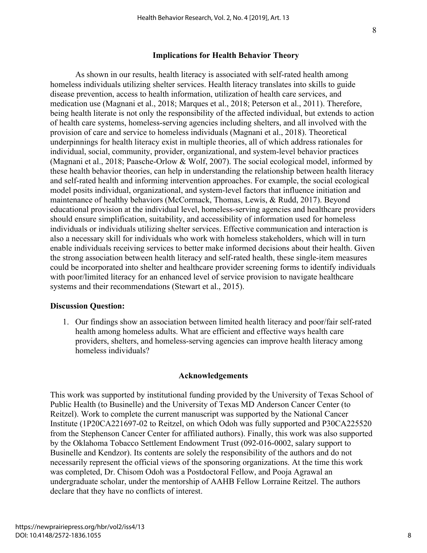## **Implications for Health Behavior Theory**

As shown in our results, health literacy is associated with self-rated health among homeless individuals utilizing shelter services. Health literacy translates into skills to guide disease prevention, access to health information, utilization of health care services, and medication use (Magnani et al., 2018; Marques et al., 2018; Peterson et al., 2011). Therefore, being health literate is not only the responsibility of the affected individual, but extends to action of health care systems, homeless-serving agencies including shelters, and all involved with the provision of care and service to homeless individuals (Magnani et al., 2018). Theoretical underpinnings for health literacy exist in multiple theories, all of which address rationales for individual, social, community, provider, organizational, and system-level behavior practices (Magnani et al., 2018; Paasche-Orlow & Wolf, 2007). The social ecological model, informed by these health behavior theories, can help in understanding the relationship between health literacy and self-rated health and informing intervention approaches. For example, the social ecological model posits individual, organizational, and system-level factors that influence initiation and maintenance of healthy behaviors (McCormack, Thomas, Lewis, & Rudd, 2017). Beyond educational provision at the individual level, homeless-serving agencies and healthcare providers should ensure simplification, suitability, and accessibility of information used for homeless individuals or individuals utilizing shelter services. Effective communication and interaction is also a necessary skill for individuals who work with homeless stakeholders, which will in turn enable individuals receiving services to better make informed decisions about their health. Given the strong association between health literacy and self-rated health, these single-item measures could be incorporated into shelter and healthcare provider screening forms to identify individuals with poor/limited literacy for an enhanced level of service provision to navigate healthcare systems and their recommendations (Stewart et al., 2015).

#### **Discussion Question:**

1. Our findings show an association between limited health literacy and poor/fair self-rated health among homeless adults. What are efficient and effective ways health care providers, shelters, and homeless-serving agencies can improve health literacy among homeless individuals?

#### **Acknowledgements**

This work was supported by institutional funding provided by the University of Texas School of Public Health (to Businelle) and the University of Texas MD Anderson Cancer Center (to Reitzel). Work to complete the current manuscript was supported by the National Cancer Institute (1P20CA221697-02 to Reitzel, on which Odoh was fully supported and P30CA225520 from the Stephenson Cancer Center for affiliated authors). Finally, this work was also supported by the Oklahoma Tobacco Settlement Endowment Trust (092-016-0002, salary support to Businelle and Kendzor). Its contents are solely the responsibility of the authors and do not necessarily represent the official views of the sponsoring organizations. At the time this work was completed, Dr. Chisom Odoh was a Postdoctoral Fellow, and Pooja Agrawal an undergraduate scholar, under the mentorship of AAHB Fellow Lorraine Reitzel. The authors declare that they have no conflicts of interest.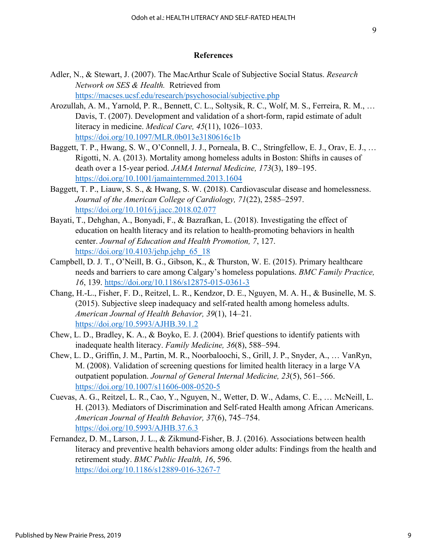## **References**

- Adler, N., & Stewart, J. (2007). The MacArthur Scale of Subjective Social Status. *Research Network on SES & Health.* Retrieved from <https://macses.ucsf.edu/research/psychosocial/subjective.php>
- Arozullah, A. M., Yarnold, P. R., Bennett, C. L., Soltysik, R. C., Wolf, M. S., Ferreira, R. M., … Davis, T. (2007). Development and validation of a short-form, rapid estimate of adult literacy in medicine. *Medical Care, 45*(11), 1026–1033. <https://doi.org/10.1097/MLR.0b013e3180616c1b>
- Baggett, T. P., Hwang, S. W., O'Connell, J. J., Porneala, B. C., Stringfellow, E. J., Orav, E. J., … Rigotti, N. A. (2013). Mortality among homeless adults in Boston: Shifts in causes of death over a 15-year period. *JAMA Internal Medicine, 173*(3), 189–195. <https://doi.org/10.1001/jamainternmed.2013.1604>
- Baggett, T. P., Liauw, S. S., & Hwang, S. W. (2018). Cardiovascular disease and homelessness. *Journal of the American College of Cardiology, 71*(22), 2585–2597. <https://doi.org/10.1016/j.jacc.2018.02.077>
- Bayati, T., Dehghan, A., Bonyadi, F., & Bazrafkan, L. (2018). Investigating the effect of education on health literacy and its relation to health-promoting behaviors in health center. *Journal of Education and Health Promotion, 7*, 127. https://doi.org/10.4103/jehp.jehp $65$  18
- Campbell, D. J. T., O'Neill, B. G., Gibson, K., & Thurston, W. E. (2015). Primary healthcare needs and barriers to care among Calgary's homeless populations. *BMC Family Practice, 16*, 139.<https://doi.org/10.1186/s12875-015-0361-3>
- Chang, H.-L., Fisher, F. D., Reitzel, L. R., Kendzor, D. E., Nguyen, M. A. H., & Businelle, M. S. (2015). Subjective sleep inadequacy and self-rated health among homeless adults. *American Journal of Health Behavior, 39*(1), 14–21. <https://doi.org/10.5993/AJHB.39.1.2>
- Chew, L. D., Bradley, K. A., & Boyko, E. J. (2004). Brief questions to identify patients with inadequate health literacy. *Family Medicine, 36*(8), 588–594.
- Chew, L. D., Griffin, J. M., Partin, M. R., Noorbaloochi, S., Grill, J. P., Snyder, A., … VanRyn, M. (2008). Validation of screening questions for limited health literacy in a large VA outpatient population. *Journal of General Internal Medicine, 23*(5), 561–566. <https://doi.org/10.1007/s11606-008-0520-5>
- Cuevas, A. G., Reitzel, L. R., Cao, Y., Nguyen, N., Wetter, D. W., Adams, C. E., … McNeill, L. H. (2013). Mediators of Discrimination and Self-rated Health among African Americans. *American Journal of Health Behavior, 37*(6), 745–754. <https://doi.org/10.5993/AJHB.37.6.3>
- Fernandez, D. M., Larson, J. L., & Zikmund-Fisher, B. J. (2016). Associations between health literacy and preventive health behaviors among older adults: Findings from the health and retirement study. *BMC Public Health, 16*, 596. <https://doi.org/10.1186/s12889-016-3267-7>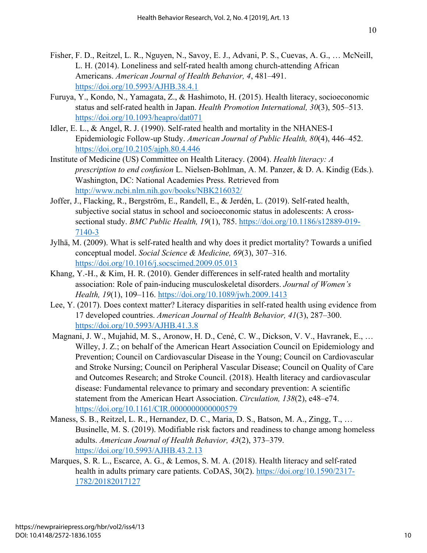- Fisher, F. D., Reitzel, L. R., Nguyen, N., Savoy, E. J., Advani, P. S., Cuevas, A. G., … McNeill, L. H. (2014). Loneliness and self-rated health among church-attending African Americans. *American Journal of Health Behavior, 4*, 481–491. <https://doi.org/10.5993/AJHB.38.4.1>
- Furuya, Y., Kondo, N., Yamagata, Z., & Hashimoto, H. (2015). Health literacy, socioeconomic status and self-rated health in Japan. *Health Promotion International, 30*(3), 505–513. <https://doi.org/10.1093/heapro/dat071>
- Idler, E. L., & Angel, R. J. (1990). Self-rated health and mortality in the NHANES-I Epidemiologic Follow-up Study. *American Journal of Public Health, 80*(4), 446–452. <https://doi.org/10.2105/ajph.80.4.446>
- Institute of Medicine (US) Committee on Health Literacy. (2004). *Health literacy: A prescription to end confusion* L. Nielsen-Bohlman, A. M. Panzer, & D. A. Kindig (Eds.). Washington, DC: National Academies Press. Retrieved from <http://www.ncbi.nlm.nih.gov/books/NBK216032/>
- Joffer, J., Flacking, R., Bergström, E., Randell, E., & Jerdén, L. (2019). Self-rated health, subjective social status in school and socioeconomic status in adolescents: A crosssectional study. *BMC Public Health, 19*(1), 785. [https://doi.org/10.1186/s12889-019-](https://doi.org/10.1186/s12889-019-7140-3) [7140-3](https://doi.org/10.1186/s12889-019-7140-3)
- Jylhä, M. (2009). What is self-rated health and why does it predict mortality? Towards a unified conceptual model. *Social Science & Medicine, 69*(3), 307–316. <https://doi.org/10.1016/j.socscimed.2009.05.013>
- Khang, Y.-H., & Kim, H. R. (2010). Gender differences in self-rated health and mortality association: Role of pain-inducing musculoskeletal disorders. *Journal of Women's Health, 19*(1), 109–116.<https://doi.org/10.1089/jwh.2009.1413>
- Lee, Y. (2017). Does context matter? Literacy disparities in self-rated health using evidence from 17 developed countries. *American Journal of Health Behavior, 41*(3), 287–300. <https://doi.org/10.5993/AJHB.41.3.8>
- Magnani, J. W., Mujahid, M. S., Aronow, H. D., Cené, C. W., Dickson, V. V., Havranek, E., … Willey, J. Z.; on behalf of the American Heart Association Council on Epidemiology and Prevention; Council on Cardiovascular Disease in the Young; Council on Cardiovascular and Stroke Nursing; Council on Peripheral Vascular Disease; Council on Quality of Care and Outcomes Research; and Stroke Council. (2018). Health literacy and cardiovascular disease: Fundamental relevance to primary and secondary prevention: A scientific statement from the American Heart Association. *Circulation, 138*(2), e48–e74. <https://doi.org/10.1161/CIR.0000000000000579>
- Maness, S. B., Reitzel, L. R., Hernandez, D. C., Maria, D. S., Batson, M. A., Zingg, T., … Businelle, M. S. (2019). Modifiable risk factors and readiness to change among homeless adults. *American Journal of Health Behavior, 43*(2), 373–379. <https://doi.org/10.5993/AJHB.43.2.13>
- Marques, S. R. L., Escarce, A. G., & Lemos, S. M. A. (2018). Health literacy and self-rated health in adults primary care patients. CoDAS, 30(2). [https://doi.org/10.1590/2317-](https://doi.org/10.1590/2317-1782/20182017127) [1782/20182017127](https://doi.org/10.1590/2317-1782/20182017127)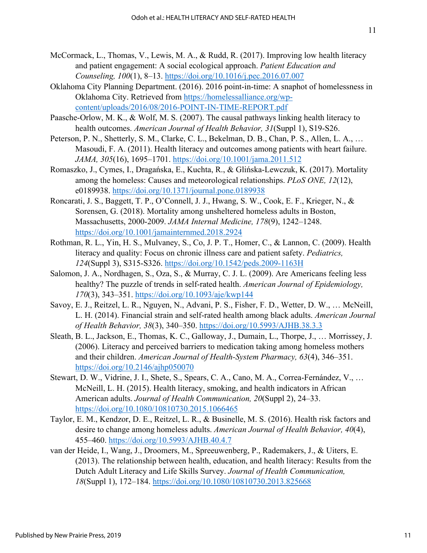- McCormack, L., Thomas, V., Lewis, M. A., & Rudd, R. (2017). Improving low health literacy and patient engagement: A social ecological approach. *Patient Education and Counseling, 100*(1), 8–13.<https://doi.org/10.1016/j.pec.2016.07.007>
- Oklahoma City Planning Department. (2016). 2016 point-in-time: A snaphot of homelessness in Oklahoma City. Retrieved from [https://homelessalliance.org/wp](https://homelessalliance.org/wp-content/uploads/2016/08/2016-POINT-IN-TIME-REPORT.pdf)[content/uploads/2016/08/2016-POINT-IN-](https://homelessalliance.org/wp-content/uploads/2016/08/2016-POINT-IN-TIME-REPORT.pdf)TIME-REPORT.pdf
- Paasche-Orlow, M. K., & Wolf, M. S. (2007). The causal pathways linking health literacy to health outcomes. *American Journal of Health Behavior, 31*(Suppl 1), S19-S26.
- Peterson, P. N., Shetterly, S. M., Clarke, C. L., Bekelman, D. B., Chan, P. S., Allen, L. A., … Masoudi, F. A. (2011). Health literacy and outcomes among patients with heart failure. *JAMA, 305*(16), 1695–1701.<https://doi.org/10.1001/jama.2011.512>
- Romaszko, J., Cymes, I., Dragańska, E., Kuchta, R., & Glińska-Lewczuk, K. (2017). Mortality among the homeless: Causes and meteorological relationships. *PLoS ONE, 12*(12), e0189938.<https://doi.org/10.1371/journal.pone.0189938>
- Roncarati, J. S., Baggett, T. P., O'Connell, J. J., Hwang, S. W., Cook, E. F., Krieger, N., & Sorensen, G. (2018). Mortality among unsheltered homeless adults in Boston, Massachusetts, 2000-2009. *JAMA Internal Medicine, 178*(9), 1242–1248. <https://doi.org/10.1001/jamainternmed.2018.2924>
- Rothman, R. L., Yin, H. S., Mulvaney, S., Co, J. P. T., Homer, C., & Lannon, C. (2009). Health literacy and quality: Focus on chronic illness care and patient safety. *Pediatrics, 124*(Suppl 3), S315-S326.<https://doi.org/10.1542/peds.2009-1163H>
- Salomon, J. A., Nordhagen, S., Oza, S., & Murray, C. J. L. (2009). Are Americans feeling less healthy? The puzzle of trends in self-rated health. *American Journal of Epidemiology, 170*(3), 343–351.<https://doi.org/10.1093/aje/kwp144>
- Savoy, E. J., Reitzel, L. R., Nguyen, N., Advani, P. S., Fisher, F. D., Wetter, D. W., … McNeill, L. H. (2014). Financial strain and self-rated health among black adults. *American Journal of Health Behavior, 38*(3), 340–350.<https://doi.org/10.5993/AJHB.38.3.3>
- Sleath, B. L., Jackson, E., Thomas, K. C., Galloway, J., Dumain, L., Thorpe, J., … Morrissey, J. (2006). Literacy and perceived barriers to medication taking among homeless mothers and their children. *American Journal of Health-System Pharmacy, 63*(4), 346–351. <https://doi.org/10.2146/ajhp050070>
- Stewart, D. W., Vidrine, J. I., Shete, S., Spears, C. A., Cano, M. A., Correa-Fernández, V., … McNeill, L. H. (2015). Health literacy, smoking, and health indicators in African American adults. *Journal of Health Communication, 20*(Suppl 2), 24–33. <https://doi.org/10.1080/10810730.2015.1066465>
- Taylor, E. M., Kendzor, D. E., Reitzel, L. R., & Businelle, M. S. (2016). Health risk factors and desire to change among homeless adults. *American Journal of Health Behavior, 40*(4), 455–460.<https://doi.org/10.5993/AJHB.40.4.7>
- van der Heide, I., Wang, J., Droomers, M., Spreeuwenberg, P., Rademakers, J., & Uiters, E. (2013). The relationship between health, education, and health literacy: Results from the Dutch Adult Literacy and Life Skills Survey. *Journal of Health Communication, 18*(Suppl 1), 172–184.<https://doi.org/10.1080/10810730.2013.825668>